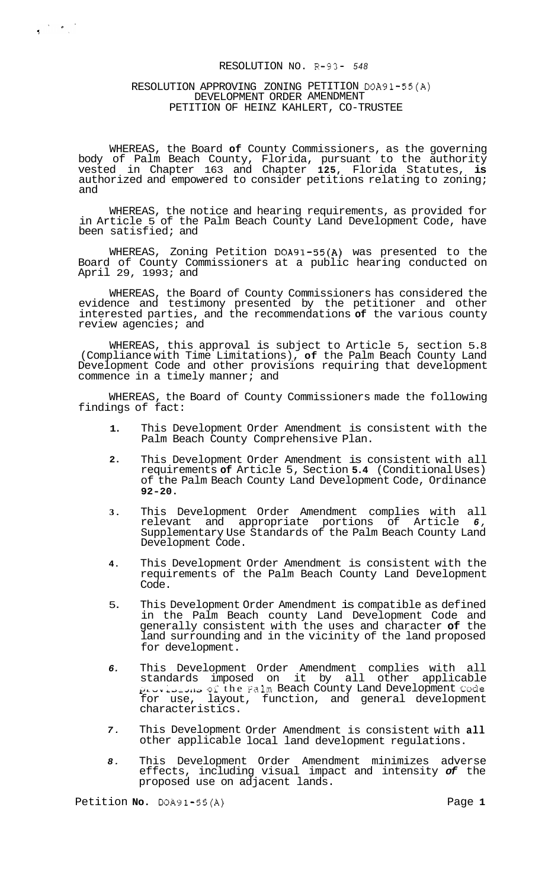# RESOLUTION NO. R-93- *<sup>548</sup>*

## RESOLUTION APPROVING ZONING PETITION DOA91-55(A) DEVELOPMENT ORDER AMENDMENT PETITION OF HEINZ KAHLERT, CO-TRUSTEE

 $\begin{array}{ccc} \bullet & \bullet & \bullet & \bullet \\ \bullet & \bullet & \bullet & \bullet \end{array}$ 

WHEREAS, the Board **of** County Commissioners, as the governing body of Palm Beach County, Florida, pursuant to the authority vested in Chapter 163 and Chapter **125,** Florida Statutes, **is**  authorized and empowered to consider petitions relating to zoning; and

WHEREAS, the notice and hearing requirements, as provided for in Article 5 of the Palm Beach County Land Development Code, have been satisfied; and

WHEREAS, Zoning Petition DOA91-55(A) was presented to the Board of County Commissioners at a public hearing conducted on April 29, 1993; and

WHEREAS, the Board of County Commissioners has considered the evidence and testimony presented by the petitioner and other interested parties, and the recommendations **of** the various county review agencies; and

WHEREAS, this approval is subject to Article 5, section 5.8 (Compliance with Time Limitations), **of** the Palm Beach County Land Development Code and other provisions requiring that development commence in a timely manner; and

WHEREAS, the Board of County Commissioners made the following findings of fact:

- **1.**  This Development Order Amendment is consistent with the Palm Beach County Comprehensive Plan.
- **2.**  This Development Order Amendment is consistent with all requirements **of** Article 5, Section **5.4** (Conditional Uses) of the Palm Beach County Land Development Code, Ordinance **92-20.**
- **3.**  This Development Order Amendment complies with all relevant and appropriate portions of Article *6,*  Supplementary Use Standards of the Palm Beach County Land Development Code.
- **4.**  This Development Order Amendment is consistent with the requirements of the Palm Beach County Land Development Code.
- 5. This Development Order Amendment is compatible as defined in the Palm Beach county Land Development Code and generally consistent with the uses and character **of** the land surrounding and in the vicinity of the land proposed for development.
- *6.*  This Development Order Amendment complies with all standards imposed on it by all other applicable **pLVVi.diyL~.;.** ol the Falm Beach County Land Development **Code**  for use, layout, function, and general development characteristics.
- *7.*  This Development Order Amendment is consistent with **all**  other applicable local land development regulations.
- *8.*  This Development Order Amendment minimizes adverse effects, including visual impact and intensity *of* the proposed use on adjacent lands.

Petition **No.** DOA91-55(A) Petition **Page 1**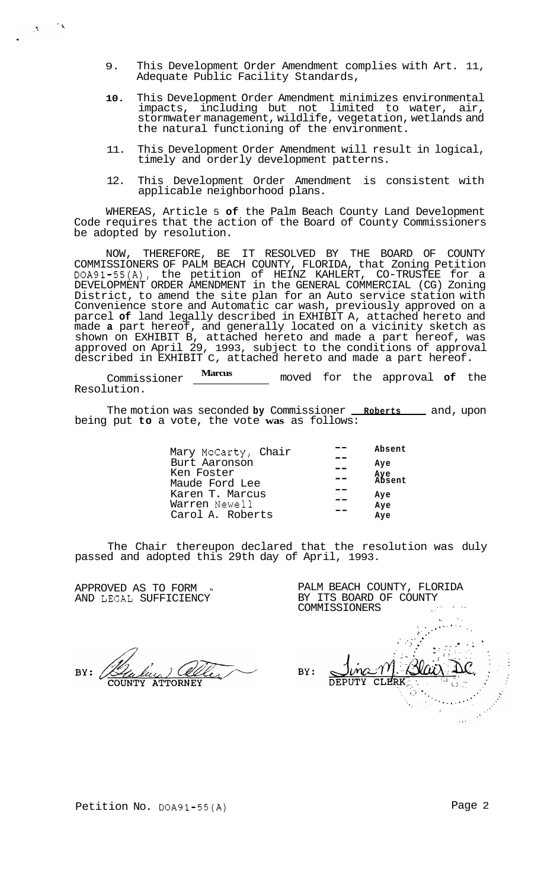- 9. This Development Order Amendment complies with Art. 11, Adequate Public Facility Standards,
- **10.** This Development Order Amendment minimizes environmental impacts, including but not limited to water, air, stormwater management, wildlife, vegetation, wetlands and the natural functioning of the environment.
- 11. This Development Order Amendment will result in logical, timely and orderly development patterns.
- 12. This Development Order Amendment is consistent with applicable neighborhood plans.

WHEREAS, Article 5 **of** the Palm Beach County Land Development Code requires that the action of the Board of County Commissioners be adopted by resolution.

NOW, THEREFORE, BE IT RESOLVED BY THE BOARD OF COUNTY COMMISSIONERS OF PALM BEACH COUNTY, FLORIDA, that Zoning Petition DOA91-55(A), the petition of HEINZ KAHLERT, CO-TRUSTEE for a DEVELOPMENT ORDER AMENDMENT in the GENERAL COMMERCIAL (CG) Zoning District, to amend the site plan for an Auto service station with Convenience store and Automatic car wash, previously approved on a parcel **of** land legally described in EXHIBIT A, attached hereto and made **a** part hereof, and generally located on a vicinity sketch as shown on EXHIBIT B, attached hereto and made a part hereof, was approved on April 29, 1993, subject to the conditions of approval described in EXHIBIT C, attached hereto and made a part hereof.

Commissioner **Marcus** moved for the approval **of** the Resolution.

The motion was seconded by Commissioner **Roberts** and, upon being put **to** a vote, the vote **was** as follows:

| Absent        |
|---------------|
| Aye           |
| Aye<br>Absent |
|               |
| Aye           |
| Aye           |
| Ave           |
|               |

The Chair thereupon declared that the resolution was duly passed and adopted this 29th day of April, 1993.

APPROVED AS TO FORM AND LEGAL SUFFICIENCY

 $\langle \mathbf{A}^{\dagger} \rangle$ 

 $\mathcal{L}_{\Lambda}$ 

ATTORNEY

PALM BEACH COUNTY, FLORIDA BY ITS BOARD OF COUNTY . : COMMISSIONERS \. .I . ., .\_ '.  $\mathcal{L}^{\text{in}}$  ,  $\mathcal{L}^{\text{in}}$  ,  $\mathcal{L}^{\text{in}}$  ,  $\mathcal{L}^{\text{in}}$ ' **.e\*--** \*'. .. ,  $\frac{1}{2}$ ,<br>,<br>, ' ,- > .( .. **<sup>I</sup>**  $\mathcal{F} = \mathcal{F}$ BY: CLERK **DEPUTY**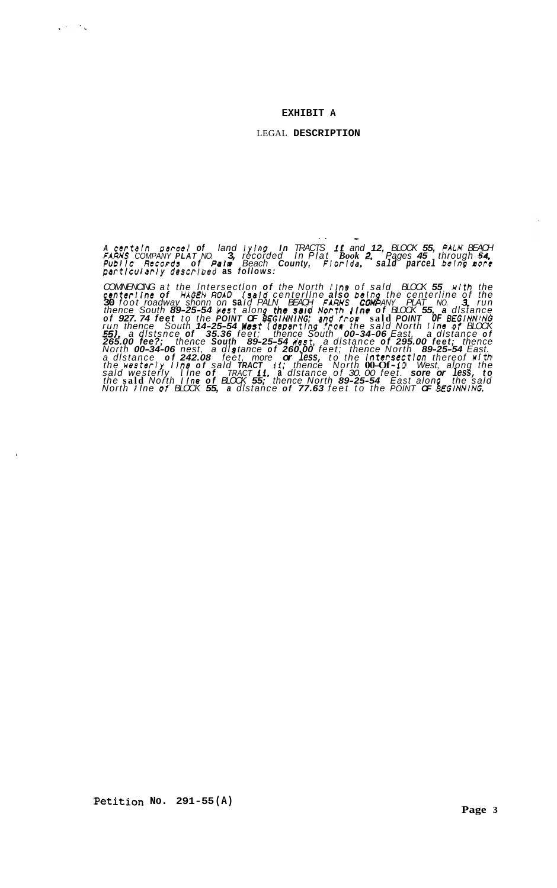### **EXHIBIT A**

## LEGAL **DESCRIPTION**

*<sup>A</sup>certsln parcel of land lylng In TRACTS* **if** *and 12, BLOCK 55, PALH BEACH*  FAŘŇS COMPÁNY PLATINO. IS, récorded in Plat Book 2. Pages 45 through 54.<br>Public Records of Palm Beach County, Florida, sald parcel being more *parttcularly descrlbed* **as** *follows:* 

.. -

*COMNENCING at the lntersectlon of the North l ine of sald BLOCK 55 wl th the canterllne of HAGEN ROAD (ssld centerllne also beln the centerline of the*  30 foot roadway shonn on said PALN BEACH FARNS CONPANY PLAT NO. 3. run<br>thence South 89-25-54 hest along the said North line of BLOCK 55, a distance of 927.74 feet to the POINT OF BEGINNING; and from said POINT OF BEGINNING<br>run thence, South 14–25–54 **Mest** (departing from the said North Line of BLOCK *55). a dlstsnce of 35.36 feet; thence South 00-34-06 East, a dlstance of 265.00 fee?; thence South 89-25-54 Usst, a dlstance of 295.00 feet; thence North 00-34-06 nest, a dl* **s** *tance of 260.00 feet; thence North 89-25-54 East.*  a distance of 242.08 feet, more or less, to the intersection thereof with<br>the westerly line of said TRACT 11; thence North 00-Of-10 West, along the sald westerly Tine of TRACT 11, a distance of 30 00 feet. sore or less, to<br>the said North I ine of BLOCK 55; thence North 89-25-54 East along the said *North I Ine* **or** *BLOCK 55, a dlstance of 77.63 feet to the POINT OF* **8** *€GINNING.* 

 $\sqrt{2}$  and  $\sqrt{2}$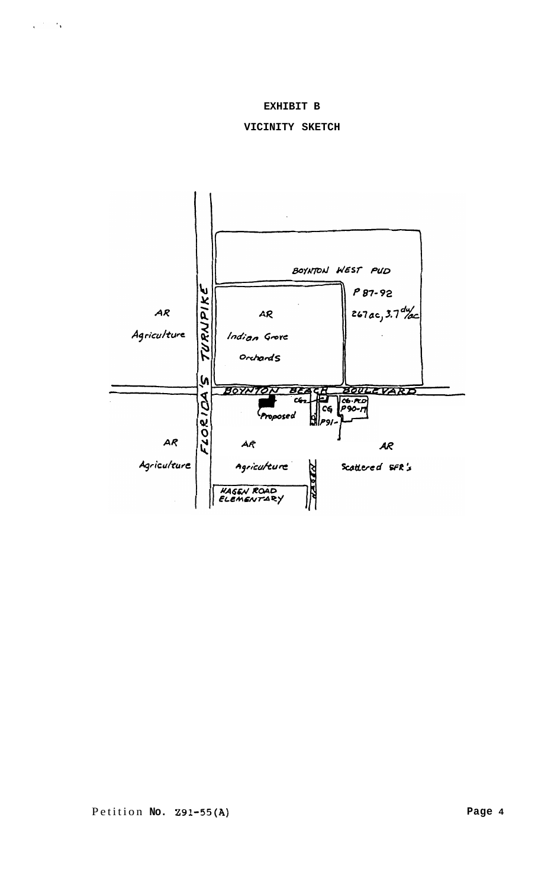# **EXHIBIT B**

# **VICINITY SKETCH**

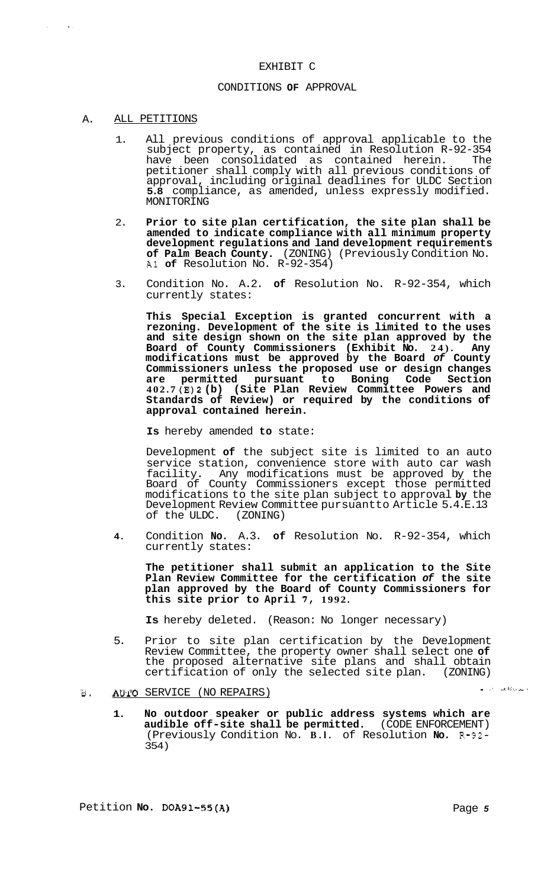## EXHIBIT C

# CONDITIONS **OF** APPROVAL

## A. ALL PETITIONS

 $\Delta \sim$ 

- 1. All previous conditions of approval applicable to the subject property, as contained in Resolution R-92-354 have been consolidated as contained herein. The petitioner shall comply with all previous conditions of approval, including original deadlines for ULDC Section **5.8** compliance, as amended, unless expressly modified. MONITORING
- 2. **Prior to site plan certification, the site plan shall be amended to indicate compliance with all minimum property development regulations and land development requirements of Palm Beach County.** (ZONING) (Previously Condition No. A1 **of** Resolution No. R-92-354)
- 3. Condition No. A.2. **of** Resolution No. R-92-354, which currently states:

**This Special Exception is granted concurrent with a rezoning. Development of the site is limited to the uses and site design shown on the site plan approved by the Board of County Commissioners (Exhibit No. 24). Any modifications must be approved by the Board** *of* **County Commissioners unless the proposed use or design changes are permitted pursuant to Boning Code Section 402.7 (E)2 (b) (Site Plan Review Committee Powers and Standards of Review) or required by the conditions of approval contained herein.** 

**Is** hereby amended **to** state:

Development **of** the subject site is limited to an auto service station, convenience store with auto car wash facility. Any modifications must be approved by the Board of County Commissioners except those permitted modifications to the site plan subject to approval **by** the Development Review Committee pursuantto Article 5.4.E.13<br>of the ULDC. (ZONING) of the ULDC.

**4.** Condition **No.** A.3. **of** Resolution No. R-92-354, which currently states:

**The petitioner shall submit an application to the Site Plan Review Committee for the certification** *of* **the site plan approved by the Board of County Commissioners for this site prior to April 7, 1992.** 

**Is** hereby deleted. (Reason: No longer necessary)

5. Prior to site plan certification by the Development Review Committee, the property owner shall select one **of**  the proposed alternative site plans and shall obtain certification of only the selected site plan. (ZONING)

# **It). AUTO** SERVICE (NO REPAIRS)

**1. No outdoor speaker or public address systems which are audible off-site shall be permitted.** (CODE ENFORCEMENT) (Previously Condition No. **B.l.** of Resolution **No. R-92-**  354)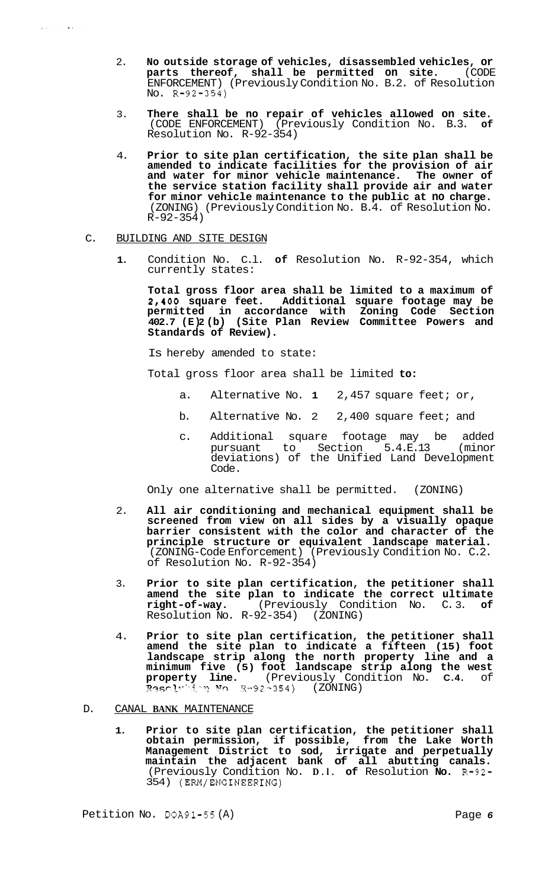- 2. **No outside storage of vehicles, disassembled vehicles, or parts thereof, shall be permitted on site.** (CODE ENFORCEMENT) (Previously Condition No. B.2. of Resolution No. R-92-354)
- 3. **There shall be no repair of vehicles allowed on site.**  (CODE ENFORCEMENT) (Previously Condition No. B.3. **of**  Resolution No. R-92-354)
- 4. **Prior to site plan certification, the site plan shall be amended to indicate facilities for the provision of air and water for minor vehicle maintenance. The owner of the service station facility shall provide air and water for minor vehicle maintenance to the public at no charge.**  (ZONING) (Previously Condition No. B.4. of Resolution No. R-92-354)

# C. BUILDING AND SITE DESIGN

**1.** Condition No. C.l. **of** Resolution No. R-92-354, which currently states:

**Total gross floor area shall be limited to a maximum of 2,400 square feet. Additional square footage may be permitted in accordance with Zoning Code Section 402.7 (E) 2 (b) (Site Plan Review Committee Powers and Standards of Review).** 

Is hereby amended to state:

Total gross floor area shall be limited **to:** 

- a. Alternative No. **1** 2,457 square feet; or,
- b. Alternative No. 2 2,400 square feet; and
- c. Additional square footage may be added pursuant to Section 5.4.E.13 (minor deviations) of the Unified Land Development Code.

Only one alternative shall be permitted. (ZONING)

- 2. **All air conditioning and mechanical equipment shall be screened from view on all sides by a visually opaque barrier consistent with the color and character of the principle structure or equivalent landscape material.**  (ZONING-Code Enforcement) (Previously Condition No. C.2. of Resolution No. R-92-354)
- 3. **Prior to site plan certification, the petitioner shall amend the site plan to indicate the correct ultimate right-of-way.** (Previously Condition No. C. 3. **of**  Resolution  $N_0$ . R-92-354)
- 4. **Prior to site plan certification, the petitioner shall amend the site plan to indicate a fifteen (15) foot landscape strip along the north property line and a minimum five (5) foot landscape strip along the west property line.** (Previously Condition No. **C.4.** of *??.?GP~-~-'.;.* '.'? ?J<> 9-92-354) (ZONING)
- D. CANAL **BANK** MAINTENANCE
	- **1. Prior to site plan certification, the petitioner shall obtain permission, if possible, from the Lake Worth Management District to sod, irrigate and perpetually maintain the adjacent bank of all abutting canals.**  (Previously Condition No. **D.l. of** Resolution **No.** R-92- 354) (ERM/ENGINEERING)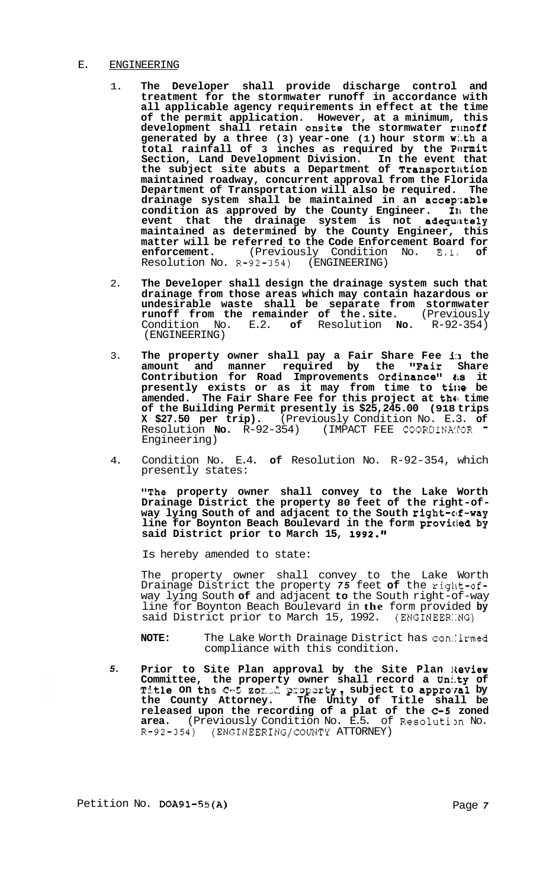# E. ENGINEERING

- 1. **The Developer shall provide discharge control and treatment for the stormwater runoff in accordance with all applicable agency requirements in effect at the time of the permit application. However, at a minimum, this development shall retain onsite the stormwater runoff generated by a three (3) year-one (1) hour storm w:.th a total rainfall of 3 inches as required by the Pormit Section, Land Development Division. In the event that**  the subject site abuts a Department of **Transportation maintained roadway, concurrent approval from the Florida Department of Transportation will also be required. The drainage system shall be maintained in an accep':able condition as approved by the County Engineer. I11 the**  event that the drainage system is not adequately **maintained as determined by the County Engineer, this matter will be referred to the Code Enforcement Board for enforcement.** (Previously Condition No. E.l\* **of**  Resolution No. R-92-354)
- 2. **The Developer shall design the drainage system such that drainage from those areas which may contain hazardous or undesirable waste shall be separate from stormwater runoff from the remainder of the. site.** (Previously Condition No. E.2. **of** Resolution **No.** R-92-354) (ENGINEERING)
- 3. **The property owner shall pay a Fair Share Fee i:1 the amount and manner required by the "Fair Share Contribution for Road Improvements Ordinance"** *tis* **it presently exists or as it may from time to tilre be amended.** The Fair Share Fee for this project at the time **of the Building Permit presently is \$25,245.00 (918 trips X \$27.50 per trip).** (Previously Condition No. E.3. **of** Resolution **No.** R-92-354) (IMPACT FEE COORDINAMOR " Engineering)
- 4. Condition No. E.4. **of** Resolution No. R-92-354, which presently states:

**"The property owner shall convey to the Lake Worth Drainage District the property 80 feet of the right-of- way lying South of and adjacent to the South right-of-way line for Boynton Beach Boulevard in the form proviiled by**  said District prior to March 15, 1992."

Is hereby amended to state:

The property owner shall convey to the Lake Worth Drainage District the property *75* feet **of** the rigirt-ofway lying South **of** and adjacent **to** the South right-of-way line for Boynton Beach Boulevard in **the** form provided **by**  said District prior to March 15, 1992. (ENGINEER::NG)

- **NOTE:** The Lake Worth Drainage District has con: irmed compliance with this condition.
- *5.*  **Prior to Site Plan approval by the Site Plan Review Committee, the property owner shall record a Unity of The fact of the frequence of the first fact of committee, the property owner shall record a Unity of Title on the C-5 zozad property, subject to approval by the County Attorney. The Unity of Title shall be released upon the recording of a plat of the** *C-5* **zoned**  area. (Previously Condition No. E.5. of Resolution No. R-92-354) (ENGINEERING/COUNTY ATTORNEY)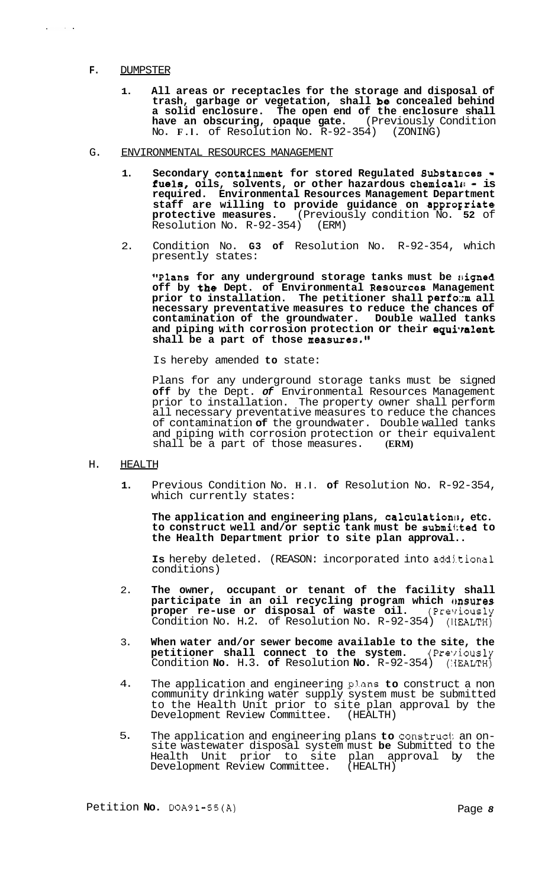## **F.** DUMPSTER

 $\mathcal{A}^{\text{max}}$  and  $\mathcal{A}^{\text{max}}$ 

- **1. All areas or receptacles for the storage and disposal of trash, garbage or vegetation, shall be concealed behind a solid enclosure. The open end of the enclosure shall**  have an obscuring, opaque gate. (Previously Condition No. **F.l.** of Resolution No. R-92-354) (ZONING)
- G. ENVIRONMENTAL RESOURCES MANAGEMENT
	- **1. Secondary containment for stored Regulated Bubstances**  fuels, oils, solvents, or other hazardous chemicals - is **required. Environmental Resources Management Department staff are willing to provide guidance on approgriate protective measures.** (Previously condition No. **52** of Resolution No. R-92-354)
	- 2. Condition No. **G3 of** Resolution No. R-92-354, which presently states:

**#'Plans for any underground storage tanks must be sligned off by the Dept. of Environmental Resources Management prior to installation. The petitioner shall perfozm all necessary preventative measures to reduce the chances of contamination of the groundwater. Double walled tanks**  and piping with corrosion protection or their equivalent **shall be a part of those measures."** 

Is hereby amended **to** state:

Plans for any underground storage tanks must be signed **off** by the Dept. *of* Environmental Resources Management prior to installation. The property owner shall perform all necessary preventative measures to reduce the chances of contamination **of** the groundwater. Double walled tanks and piping with corrosion protection or their equivalent<br>shall be a part of those measures. (ERM) shall be a part of those measures.

- H. HEALTH
	- **1.**  Previous Condition No. **H.l. of** Resolution No. R-92-354, which currently states:

The application and engineering plans, calculation<sup>8</sup>, etc. **to construct well and/or septic tank must be submi1;ted to the Health Department prior to site plan approval..** 

**Is** hereby deleted. (REASON: incorporated into addj.tiona1 conditions)

- 2. **The owner, occupant or tenant of the facility shall participate in an oil recycling program which Onsures** proper re-use or disposal of waste oil. (Previously proper re-use or disposal of waste oil. (Previously Condition No. H.2. of Resolution No. R-92-354) (IIEALTH)
- 3. **When water and/or sewer become available to the site, the petitioner shall connect to the system.** (Previously Condition **No.** H.3. **of** Resolution **No.** R-92-354) (:IEALTH)
- 4. The application and engineering plans **to** construct a non community drinking water supply system must be submitted to the Health Unit prior to site plan approval by the Development Review Committee. (HEALTH)
- 5. The application and engineering plans **to** construct an on- site wastewater disposal system must **be** Submitted to the Health Unit prior to site plan approval by the Development Review Committee. (HEALTH)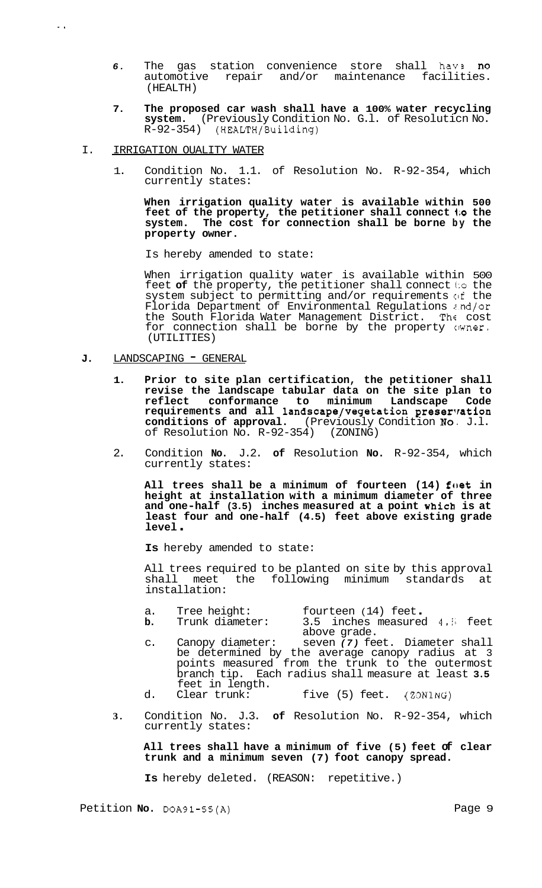- 6. The gas station convenience store shall have no automotive repair and/or maintenance facilities. (HEALTH)
- **7. The proposed car wash shall have a 100% water recycling system.** (Previously Condition No. G.l. of Resoluticn No. R-92-354) (HEALTH/Building)
- I. IRRIGATION OUALITY WATER

..

1. Condition No. 1.1. of Resolution No. R-92-354, which currently states:

**When irrigation quality water is available within 500 feet of the property, the petitioner shall connect 1;o the system. The cost for connection shall be borne by the property owner.** 

Is hereby amended to state:

When irrigation quality water is available within 500 feet of the property, the petitioner shall connect to the system subject to permitting and/or requirements of the Florida Department of Environmental Regulations z.nd/or the South Florida Water Management District. The cost for connection shall be borne by the property owner. (UTILITIES)

- J. LANDSCAPING GENERAL
	- **1. Prior to site plan certification, the petitioner shall revise the landscape tabular data on the site plan to reflect conformance to minimum Landscape Code**  requirements and all landscape/vegetation preservation conditions of approval. (Previously Condition No. J.l. **conditions of approval.** (Previously Condition **No.** J.l. of Resolution No. R-92-354)
	- 2. Condition **No.** J.2. **of** Resolution **No.** R-92-354, which currently states:

All trees shall be a minimum of fourteen (14) foet in **height at installation with a minimum diameter of three and one-half (3.5) inches measured at a point which is at least four and one-half (4.5) feet above existing grade level** .

**Is** hereby amended to state:

All trees required to be planted on site by this approval shall meet the following minimum standards at installation:

- a. Tree height: fourteen (14) feet.<br> **b.** Trunk diameter: 3.5 inches measured 4.5 feet
	- above grade.
- c. Canopy diameter: seven *(7)* feet. Diameter shall be determined by the average canopy radius at 3 points measured from the trunk to the outermost branch tip. Each radius shall measure at least **3.5**  feet in length.<br>Clear trunk:
- d. Clear trunk: five (5) feet. **(ZONING)**
- **3.** Condition No. J.3. **of** Resolution No. R-92-354, which currently states:

**All trees shall have a minimum of five (5) feet of clear trunk and a minimum seven (7) foot canopy spread.** 

**Is** hereby deleted. (REASON: repetitive.)

Petition **No.** DOA91-55(A) Page 9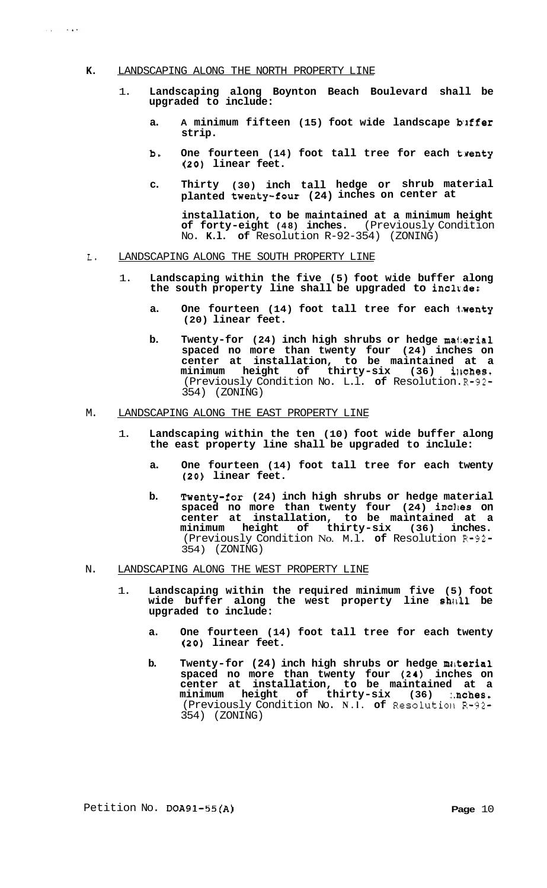## **K.** LANDSCAPING ALONG THE NORTH PROPERTY LINE

 $\mu$  and  $\mu$  is a set of

- 1. **Landscaping along Boynton Beach Boulevard shall be upgraded to include:** 
	- a. A minimum fifteen (15) foot wide landscape buffer **strip.**
	- **b. One fourteen (14) foot tall tree for each twenty (20) linear feet.**
	- **c. Thirty (30) inch tall hedge or shrub material planted twenty-four (24) inches on center at**

**installation, to be maintained at a minimum height of forty-eight (48) inches.** (Previously Condition No. **K.l. of** Resolution R-92-354) (ZONING)

- L. LANDSCAPING ALONG THE SOUTH PROPERTY LINE
	- 1. **Landscaping within the five (5) foot wide buffer along**  the south property line shall be upgraded to include:
		- **a. One fourteen (14) foot tall tree for each 1-wenty (20) linear feet.**
		- **b. Twenty-for (24) inch high shrubs or hedge ma1:erial spaced no more than twenty four (24) inches on center at installation, to be maintained at a**   $minimum$  height of thirty-six (36) inches. (Previously Condition No. L.l. **of** Resolution. R-92- 354) (ZONING)

# M. LANDSCAPING ALONG THE EAST PROPERTY LINE

- 1. **Landscaping within the ten (10) foot wide buffer along the east property line shall be upgraded to inclule:** 
	- **a. One fourteen (14) foot tall tree for each twenty (20) linear feet.**
	- **b. Twenty-for (24) inch high shrubs or hedge material**  spaced no more than twenty four (24) incles on **center at installation, to be maintained at a minimum height of thirty-six (36) inches.**  (Previously Condition No. M.l. **of** Resolution R-92- 354) (ZONING)
- N. LANDSCAPING ALONG THE WEST PROPERTY LINE
	- 1. **Landscaping within the required minimum five (5) foot**  wide buffer along the west property line shall be **upgraded to include:** 
		- **a. One fourteen (14) foot tall tree for each twenty (20) linear feet.**
		- **b.** Twenty-for (24) inch high shrubs or hedge material **spaced no more than twenty four (24) inches on center at installation, to be maintained at a**  minimum height of thirty-six (36) :.nches. (Previously Condition No. **N.l. of** Resolutioll R-92- 354) (ZONING)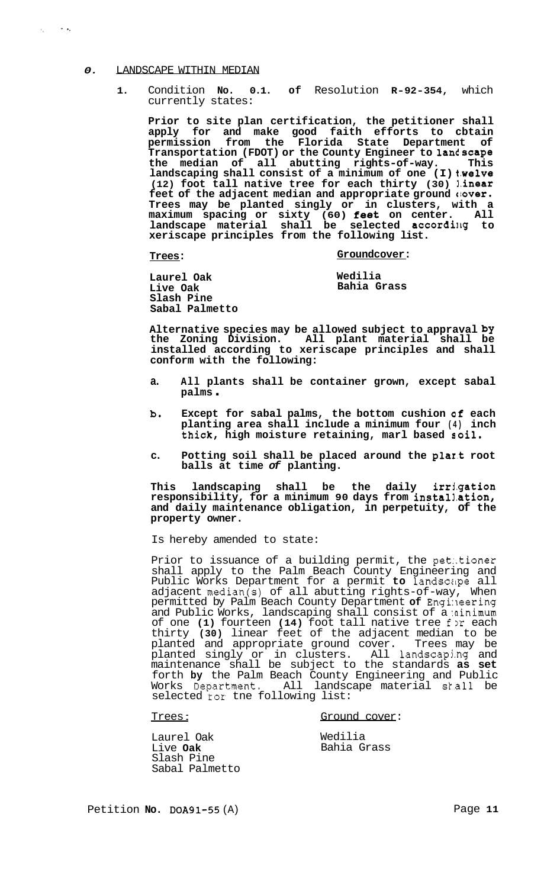## *0.* LANDSCAPE WITHIN MEDIAN

 $\mathcal{A}_\text{c}$  and  $\mathcal{A}_\text{c}$ 

**1.** Condition **No. 0.1. of** Resolution **R-92-354,** which currently states:

**Prior to site plan certification, the petitioner shall apply for and make good faith efforts to cbtain permission from the Florida State Department of Transportation (FDOT) or the County Engineer to lantscape the median of all abutting rights-of-way. This landscaping shall consist of a minimum of one (I) t.we1ve (12) foot tall native tree for each thirty (30) ].inear**  feet of the adjacent median and appropriate ground  $\theta$ **over. Trees may be planted singly or in clusters, with a maximum spacing or sixty (60) feet on center. All**  landscape material shall be selected according to **xeriscape principles from the following list.** 

**Trees:** 

## **Groundcover:**

**Laurel Oak Live Oak Slash Pine Sabal Palmetto Wedilia Bahia Grass** 

**Alternative species may be allowed subject to appraval by the Zoning Division. All plant material shall be installed according to xeriscape principles and shall conform with the following:** 

- **a. All plants shall be container grown, except sabal palms** .
- **b. Except for sabal palms, the bottom cushion af each planting area shall include a minimum four (4) inch thick, high moisture retaining, marl based soil.**
- **c. Potting soil shall be placed around the p1ar.t root balls at time** *of* **planting.**

**This landscaping shall be the daily irrj.gation responsibility, for a minimum 90 days from install.ation, and daily maintenance obligation, in perpetuity, of the property owner.** 

Is hereby amended to state:

Prior to issuance of a building permit, the petetioner shall apply to the Palm Beach County Engineering and Public Works Department for a permit to landscape all adjacent median(s) of all abutting rights-of-way, When permitted by Palm Beach County Department **of** Engi:leering and Public Works, landscaping shall consist of a ninimum of one **(1)** fourteen **(14)** foot tall native tree for each thirty **(30)** linear feet of the adjacent median to be planted and appropriate ground cover. Trees may be planted singly or in clusters. All landscapjng and maintenance shall be subject to the standards **as set**  forth **by** the Palm Beach County Engineering and Public Works Department. All landscape material skall be selected **tox** tne following list:

Trees : Ground cover:

Laurel Oak Live **Oak**  Slash Pine Sabal Palmetto Wedilia Bahia Grass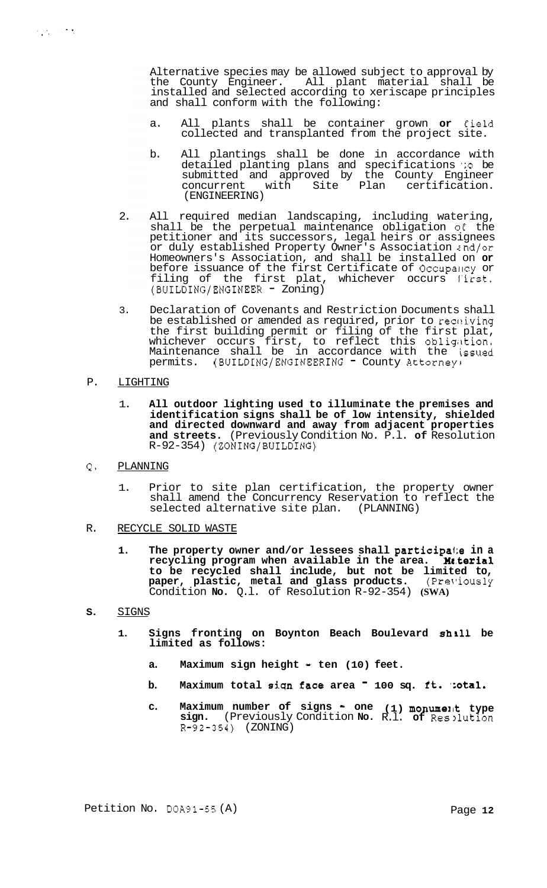Alternative species may be allowed subject to approval by the County Engineer. All plant material shall be installed and selected according to xeriscape principles and shall conform with the following:

- a. All plants shall be container grown or field collected and transplanted from the project site.
- b. All plantings shall be done in accordance with detailed planting plans and specifications *':o* be submitted and approved by the County Engineer concurrent with Site Plan certification. (ENGINEERING)
- 2. All required median landscaping, including watering, shall be the perpetual maintenance obligation of the petitioner and its successors, legal heirs or assignees or duly established Property Owner's Association  $i$ nd/or Homeowners's Association, and shall be installed on **or**  before issuance of the first Certificate of Occupancy or filing of the first plat, whichever occurs first. (BUILDING/ENGINEER - Zoning)
- 3. Declaration of Covenants and Restriction Documents shall be established or amended as required, prior to receiving the first building permit or filing of the first plat, whichever occurs first, to reflect this obligation. Maintenance shall be in accordance with the issued permits. (BUILDING/ENGINEERING - County Attorney)
- P. LIGHTING

 $\frac{1}{2}$ 

- 1. **All outdoor lighting used to illuminate the premises and identification signs shall be of low intensity, shielded and directed downward and away from adjacent properties and streets.** (Previously Condition No. P.l. **of** Resolution  $R-92-354)$  (ZONING/BUILDING)
- Q. PLANNING
	- 1. Prior to site plan certification, the property owner shall amend the Concurrency Reservation to reflect the selected alternative site plan. (PLANNING)
- R. RECYCLE SOLID WASTE
	- **1. The property owner and/or lessees shall participai:e in a recycling program when available in the area. Muterial to be recycled shall include, but not be limited to,**  paper, plastic, metal and glass products. (PreViously Condition **No.** Q.l. of Resolution R-92-354) **(SWA)**
- **S.**  SIGNS
	- **1. Signs fronting on Boynton Beach Boulevard shall be limited as follows:** 
		- a. Maximum sign height ten (10) feet.
		- **b.** Maximum total sign face area <sup>-</sup> 100 sq. ft. :otal.
		- **c. Maximum number of signs one (1) monumelk type sign.** (Previously Condition **No.** R.l. **of** Resllution R-92-354) (ZONING)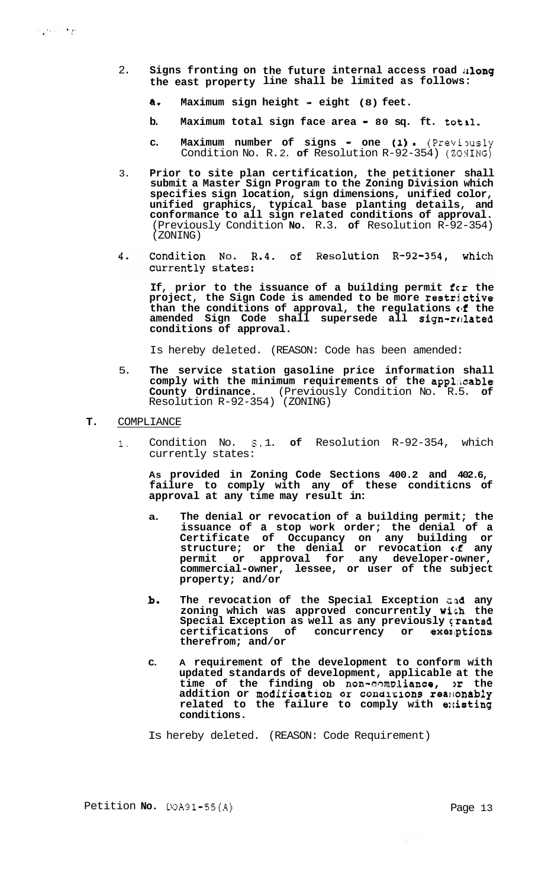- 2. **Signs fronting on the future internal access road ;Ilong the east property line shall be limited as follows:** 
	- **a. Maximum sign height eight (8) feet.**
	- **b.** Maximum total sign face area 80 sq. ft. totil.
	- **c.** Maximum number of signs one (1) [Previously Condition No. R.2. of Resolution R-92-354) (ZONING)
- 3. **Prior to site plan certification, the petitioner shall submit a Master Sign Program to the Zoning Division which specifies sign location, sign dimensions, unified color, unified graphics, typical base planting details, and conformance to all sign related conditions of approval.**  (Previously Condition **No.** R.3. **of** Resolution R-92-354) (ZONING)
- 4. Condition No. R.4. of Resolution R-92-354, which currently states:

**If, prior to the issuance of a building permit fcr the**  project, the Sign Code is amended to be more restrictive than the conditions of approval, the regulations of the amended Sign Code shall supersede all sign-related **conditions of approval.** 

Is hereby deleted. (REASON: Code has been amended:

- 5. **The service station gasoline price information shall**  comply with the minimum requirements of the applicable **County Ordinance.** (Previously Condition No. R.5. of Resolution R-92-354) (ZONING)
- **T.** COMPLIANCE
	- 1. Condition No. **S.** 1. **of** Resolution R-92-354, which currently states:

**As provided in Zoning Code Sections 400.2 and 402.6, failure to comply with any of these conditicns of approval at any time may result in:** 

- **a. The denial or revocation of a building permit; the issuance of a stop work order; the denial of a Certificate of Occupancy on any building or structure; or the denial or revocation**  $\mathbf{f}$  **any permit or approval for any developer-owner, commercial-owner, lessee, or user of the subject property; and/or**
- **bo**  The revocation of the Special Exception and any **zoning which was approved concurrently with the**  Special Exception as well as any previously (ranted **certifications of concurrency or exeniptions therefrom; and/or**
- **C. A requirement of the development to conform with updated standards of development, applicable at the time of the finding ob non-camolience, >r the**  addition or modification or conditions reasonably related to the failure to comply with existing **conditions.**

Is hereby deleted. (REASON: Code Requirement)

Petition **No.** DOA91-55(A) Page 13